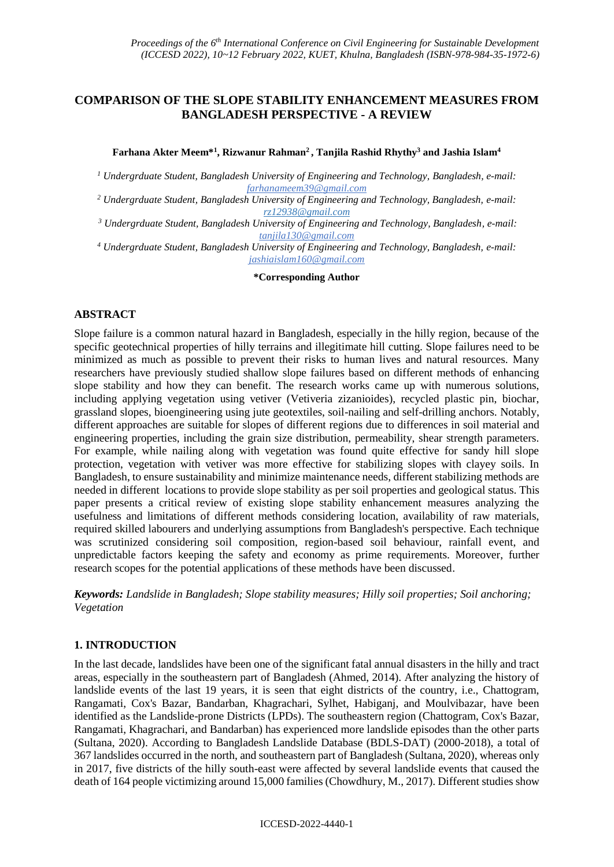# **COMPARISON OF THE SLOPE STABILITY ENHANCEMENT MEASURES FROM BANGLADESH PERSPECTIVE - A REVIEW**

### **Farhana Akter Meem\*<sup>1</sup> , Rizwanur Rahman<sup>2</sup> , Tanjila Rashid Rhythy<sup>3</sup> and Jashia Islam<sup>4</sup>**

*<sup>1</sup> Undergrduate Student, Bangladesh University of Engineering and Technology, Bangladesh, e-mail: farhanameem39@gmail.com*

- *<sup>2</sup> Undergrduate Student, Bangladesh University of Engineering and Technology, Bangladesh, e-mail: [rz12938@gmail.com](mailto:rz12938@gmail.com)*
- *<sup>3</sup> Undergrduate Student, Bangladesh University of Engineering and Technology, Bangladesh, e-mail: tanjila130@gmail.com*
- *<sup>4</sup> Undergrduate Student, Bangladesh University of Engineering and Technology, Bangladesh, e-mail: jashiaislam160@gmail.com*

**\*Corresponding Author**

### **ABSTRACT**

Slope failure is a common natural hazard in Bangladesh, especially in the hilly region, because of the specific geotechnical properties of hilly terrains and illegitimate hill cutting. Slope failures need to be minimized as much as possible to prevent their risks to human lives and natural resources. Many researchers have previously studied shallow slope failures based on different methods of enhancing slope stability and how they can benefit. The research works came up with numerous solutions, including applying vegetation using vetiver (Vetiveria zizanioides), recycled plastic pin, biochar, grassland slopes, bioengineering using jute geotextiles, soil-nailing and self-drilling anchors. Notably, different approaches are suitable for slopes of different regions due to differences in soil material and engineering properties, including the grain size distribution, permeability, shear strength parameters. For example, while nailing along with vegetation was found quite effective for sandy hill slope protection, vegetation with vetiver was more effective for stabilizing slopes with clayey soils. In Bangladesh, to ensure sustainability and minimize maintenance needs, different stabilizing methods are needed in different locations to provide slope stability as per soil properties and geological status. This paper presents a critical review of existing slope stability enhancement measures analyzing the usefulness and limitations of different methods considering location, availability of raw materials, required skilled labourers and underlying assumptions from Bangladesh's perspective. Each technique was scrutinized considering soil composition, region-based soil behaviour, rainfall event, and unpredictable factors keeping the safety and economy as prime requirements. Moreover, further research scopes for the potential applications of these methods have been discussed.

*Keywords: Landslide in Bangladesh; Slope stability measures; Hilly soil properties; Soil anchoring; Vegetation*

### **1. INTRODUCTION**

In the last decade, landslides have been one of the significant fatal annual disasters in the hilly and tract areas, especially in the southeastern part of Bangladesh (Ahmed, 2014). After analyzing the history of landslide events of the last 19 years, it is seen that eight districts of the country, i.e., Chattogram, Rangamati, Cox's Bazar, Bandarban, Khagrachari, Sylhet, Habiganj, and Moulvibazar, have been identified as the Landslide-prone Districts (LPDs). The southeastern region (Chattogram, Cox's Bazar, Rangamati, Khagrachari, and Bandarban) has experienced more landslide episodes than the other parts (Sultana, 2020). According to Bangladesh Landslide Database (BDLS-DAT) (2000-2018), a total of 367 landslides occurred in the north, and southeastern part of Bangladesh (Sultana, 2020), whereas only in 2017, five districts of the hilly south-east were affected by several landslide events that caused the death of 164 people victimizing around 15,000 families (Chowdhury, M., 2017). Different studies show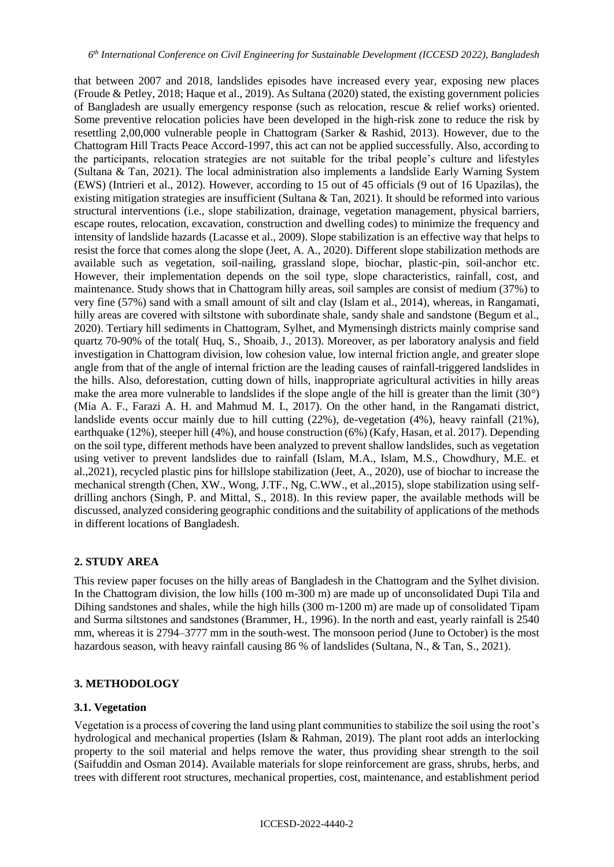that between 2007 and 2018, landslides episodes have increased every year, exposing new places (Froude & Petley, 2018; Haque et al., 2019). As Sultana (2020) stated, the existing government policies of Bangladesh are usually emergency response (such as relocation, rescue & relief works) oriented. Some preventive relocation policies have been developed in the high-risk zone to reduce the risk by resettling 2,00,000 vulnerable people in Chattogram (Sarker & Rashid, 2013). However, due to the Chattogram Hill Tracts Peace Accord-1997, this act can not be applied successfully. Also, according to the participants, relocation strategies are not suitable for the tribal people's culture and lifestyles (Sultana & Tan, 2021). The local administration also implements a landslide Early Warning System (EWS) (Intrieri et al., 2012). However, according to 15 out of 45 officials (9 out of 16 Upazilas), the existing mitigation strategies are insufficient (Sultana & Tan, 2021). It should be reformed into various structural interventions (i.e., slope stabilization, drainage, vegetation management, physical barriers, escape routes, relocation, excavation, construction and dwelling codes) to minimize the frequency and intensity of landslide hazards (Lacasse et al., 2009). Slope stabilization is an effective way that helps to resist the force that comes along the slope (Jeet, A. A., 2020). Different slope stabilization methods are available such as vegetation, soil-nailing, grassland slope, biochar, plastic-pin, soil-anchor etc. However, their implementation depends on the soil type, slope characteristics, rainfall, cost, and maintenance. Study shows that in Chattogram hilly areas, soil samples are consist of medium (37%) to very fine (57%) sand with a small amount of silt and clay (Islam et al., 2014), whereas, in Rangamati, hilly areas are covered with siltstone with subordinate shale, sandy shale and sandstone (Begum et al., 2020). Tertiary hill sediments in Chattogram, Sylhet, and Mymensingh districts mainly comprise sand quartz 70-90% of the total( Huq, S., Shoaib, J., 2013). Moreover, as per laboratory analysis and field investigation in Chattogram division, low cohesion value, low internal friction angle, and greater slope angle from that of the angle of internal friction are the leading causes of rainfall-triggered landslides in the hills. Also, deforestation, cutting down of hills, inappropriate agricultural activities in hilly areas make the area more vulnerable to landslides if the slope angle of the hill is greater than the limit (30°) (Mia A. F., Farazi A. H. and Mahmud M. I., 2017). On the other hand, in the Rangamati district, landslide events occur mainly due to hill cutting (22%), de-vegetation (4%), heavy rainfall (21%), earthquake (12%), steeper hill (4%), and house construction (6%) (Kafy, Hasan, et al. 2017). Depending on the soil type, different methods have been analyzed to prevent shallow landslides, such as vegetation using vetiver to prevent landslides due to rainfall (Islam, M.A., Islam, M.S., Chowdhury, M.E. et al.,2021), recycled plastic pins for hillslope stabilization (Jeet, A., 2020), use of biochar to increase the mechanical strength (Chen, XW., Wong, J.TF., Ng, C.WW., et al.,2015), slope stabilization using selfdrilling anchors (Singh, P. and Mittal, S., 2018). In this review paper, the available methods will be discussed, analyzed considering geographic conditions and the suitability of applications of the methods in different locations of Bangladesh.

### **2. STUDY AREA**

This review paper focuses on the hilly areas of Bangladesh in the Chattogram and the Sylhet division. In the Chattogram division, the low hills (100 m-300 m) are made up of unconsolidated Dupi Tila and Dihing sandstones and shales, while the high hills (300 m-1200 m) are made up of consolidated Tipam and Surma siltstones and sandstones (Brammer, H., 1996). In the north and east, yearly rainfall is 2540 mm, whereas it is 2794–3777 mm in the south-west. The monsoon period (June to October) is the most hazardous season, with heavy rainfall causing 86 % of landslides (Sultana, N., & Tan, S., 2021).

### **3. METHODOLOGY**

#### **3.1. Vegetation**

Vegetation is a process of covering the land using plant communities to stabilize the soil using the root's hydrological and mechanical properties (Islam & Rahman, 2019). The plant root adds an interlocking property to the soil material and helps remove the water, thus providing shear strength to the soil (Saifuddin and Osman 2014). Available materials for slope reinforcement are grass, shrubs, herbs, and trees with different root structures, mechanical properties, cost, maintenance, and establishment period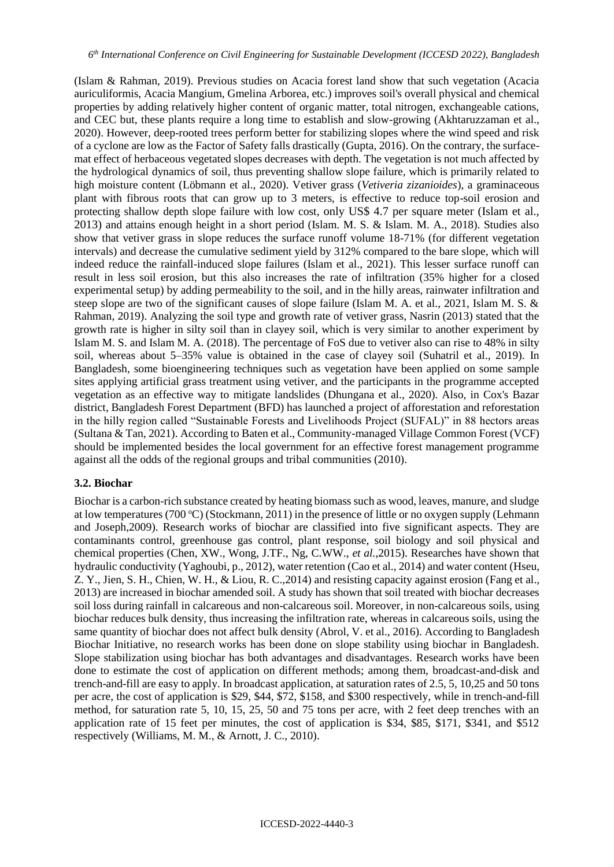(Islam & Rahman, 2019). Previous studies on Acacia forest land show that such vegetation (Acacia auriculiformis, Acacia Mangium, Gmelina Arborea, etc.) improves soil's overall physical and chemical properties by adding relatively higher content of organic matter, total nitrogen, exchangeable cations, and CEC but, these plants require a long time to establish and slow-growing (Akhtaruzzaman et al., 2020). However, deep-rooted trees perform better for stabilizing slopes where the wind speed and risk of a cyclone are low as the Factor of Safety falls drastically (Gupta, 2016). On the contrary, the surfacemat effect of herbaceous vegetated slopes decreases with depth. The vegetation is not much affected by the hydrological dynamics of soil, thus preventing shallow slope failure, which is primarily related to high moisture content (Löbmann et al., 2020). Vetiver grass (*Vetiveria zizanioides*), a graminaceous plant with fibrous roots that can grow up to 3 meters, is effective to reduce top-soil erosion and protecting shallow depth slope failure with low cost, only US\$ 4.7 per square meter (Islam et al., 2013) and attains enough height in a short period (Islam. M. S. & Islam. M. A., 2018). Studies also show that vetiver grass in slope reduces the surface runoff volume 18-71% (for different vegetation intervals) and decrease the cumulative sediment yield by 312% compared to the bare slope, which will indeed reduce the rainfall-induced slope failures (Islam et al., 2021). This lesser surface runoff can result in less soil erosion, but this also increases the rate of infiltration (35% higher for a closed experimental setup) by adding permeability to the soil, and in the hilly areas, rainwater infiltration and steep slope are two of the significant causes of slope failure (Islam M. A. et al., 2021, Islam M. S. & Rahman, 2019). Analyzing the soil type and growth rate of vetiver grass, Nasrin (2013) stated that the growth rate is higher in silty soil than in clayey soil, which is very similar to another experiment by Islam M. S. and Islam M. A. (2018). The percentage of FoS due to vetiver also can rise to 48% in silty soil, whereas about 5–35% value is obtained in the case of clayey soil (Suhatril et al., 2019). In Bangladesh, some bioengineering techniques such as vegetation have been applied on some sample sites applying artificial grass treatment using vetiver, and the participants in the programme accepted vegetation as an effective way to mitigate landslides (Dhungana et al., 2020). Also, in Cox's Bazar district, Bangladesh Forest Department (BFD) has launched a project of afforestation and reforestation in the hilly region called "Sustainable Forests and Livelihoods Project (SUFAL)" in 88 hectors areas (Sultana & Tan, 2021). According to Baten et al., Community-managed Village Common Forest (VCF) should be implemented besides the local government for an effective forest management programme against all the odds of the regional groups and tribal communities (2010).

#### **3.2. Biochar**

Biochar is a carbon-rich substance created by heating biomass such as wood, leaves, manure, and sludge at low temperatures (700 °C) (Stockmann, 2011) in the presence of little or no oxygen supply (Lehmann and Joseph,2009). Research works of biochar are classified into five significant aspects. They are contaminants control, greenhouse gas control, plant response, soil biology and soil physical and chemical properties (Chen, XW., Wong, J.TF., Ng, C.WW., *et al.*,2015). Researches have shown that hydraulic conductivity (Yaghoubi, p., 2012), water retention (Cao et al., 2014) and water content (Hseu, Z. Y., Jien, S. H., Chien, W. H., & Liou, R. C.,2014) and resisting capacity against erosion (Fang et al., 2013) are increased in biochar amended soil. A study has shown that soil treated with biochar decreases soil loss during rainfall in calcareous and non-calcareous soil. Moreover, in non-calcareous soils, using biochar reduces bulk density, thus increasing the infiltration rate, whereas in calcareous soils, using the same quantity of biochar does not affect bulk density (Abrol, V. et al., 2016). According to Bangladesh Biochar Initiative, no research works has been done on slope stability using biochar in Bangladesh. Slope stabilization using biochar has both advantages and disadvantages. Research works have been done to estimate the cost of application on different methods; among them, broadcast-and-disk and trench-and-fill are easy to apply. In broadcast application, at saturation rates of 2.5, 5, 10,25 and 50 tons per acre, the cost of application is \$29, \$44, \$72, \$158, and \$300 respectively, while in trench-and-fill method, for saturation rate 5, 10, 15, 25, 50 and 75 tons per acre, with 2 feet deep trenches with an application rate of 15 feet per minutes, the cost of application is \$34, \$85, \$171, \$341, and \$512 respectively (Williams, M. M., & Arnott, J. C., 2010).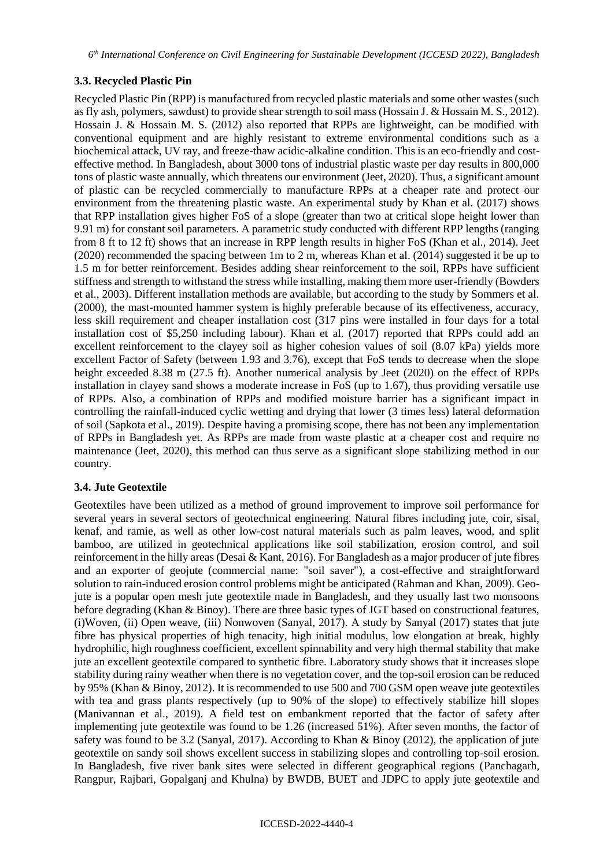# **3.3. Recycled Plastic Pin**

Recycled Plastic Pin (RPP) is manufactured from recycled plastic materials and some other wastes (such as fly ash, polymers, sawdust) to provide shear strength to soil mass (Hossain J. & Hossain M. S., 2012). Hossain J. & Hossain M. S. (2012) also reported that RPPs are lightweight, can be modified with conventional equipment and are highly resistant to extreme environmental conditions such as a biochemical attack, UV ray, and freeze-thaw acidic-alkaline condition. This is an eco-friendly and costeffective method. In Bangladesh, about 3000 tons of industrial plastic waste per day results in 800,000 tons of plastic waste annually, which threatens our environment (Jeet, 2020). Thus, a significant amount of plastic can be recycled commercially to manufacture RPPs at a cheaper rate and protect our environment from the threatening plastic waste. An experimental study by Khan et al. (2017) shows that RPP installation gives higher FoS of a slope (greater than two at critical slope height lower than 9.91 m) for constant soil parameters. A parametric study conducted with different RPP lengths (ranging from 8 ft to 12 ft) shows that an increase in RPP length results in higher FoS (Khan et al., 2014). Jeet (2020) recommended the spacing between 1m to 2 m, whereas Khan et al. (2014) suggested it be up to 1.5 m for better reinforcement. Besides adding shear reinforcement to the soil, RPPs have sufficient stiffness and strength to withstand the stress while installing, making them more user-friendly (Bowders et al., 2003). Different installation methods are available, but according to the study by Sommers et al. (2000), the mast-mounted hammer system is highly preferable because of its effectiveness, accuracy, less skill requirement and cheaper installation cost (317 pins were installed in four days for a total installation cost of \$5,250 including labour). Khan et al. (2017) reported that RPPs could add an excellent reinforcement to the clayey soil as higher cohesion values of soil (8.07 kPa) yields more excellent Factor of Safety (between 1.93 and 3.76), except that FoS tends to decrease when the slope height exceeded 8.38 m (27.5 ft). Another numerical analysis by Jeet (2020) on the effect of RPPs installation in clayey sand shows a moderate increase in FoS (up to 1.67), thus providing versatile use of RPPs. Also, a combination of RPPs and modified moisture barrier has a significant impact in controlling the rainfall-induced cyclic wetting and drying that lower (3 times less) lateral deformation of soil (Sapkota et al., 2019). Despite having a promising scope, there has not been any implementation of RPPs in Bangladesh yet. As RPPs are made from waste plastic at a cheaper cost and require no maintenance (Jeet, 2020), this method can thus serve as a significant slope stabilizing method in our country.

# **3.4. Jute Geotextile**

Geotextiles have been utilized as a method of ground improvement to improve soil performance for several years in several sectors of geotechnical engineering. Natural fibres including jute, coir, sisal, kenaf, and ramie, as well as other low-cost natural materials such as palm leaves, wood, and split bamboo, are utilized in geotechnical applications like soil stabilization, erosion control, and soil reinforcement in the hilly areas (Desai & Kant, 2016). For Bangladesh as a major producer of jute fibres and an exporter of geojute (commercial name: "soil saver"), a cost-effective and straightforward solution to rain-induced erosion control problems might be anticipated (Rahman and Khan, 2009). Geojute is a popular open mesh jute geotextile made in Bangladesh, and they usually last two monsoons before degrading (Khan & Binoy). There are three basic types of JGT based on constructional features, (i)Woven, (ii) Open weave, (iii) Nonwoven (Sanyal, 2017). A study by Sanyal (2017) states that jute fibre has physical properties of high tenacity, high initial modulus, low elongation at break, highly hydrophilic, high roughness coefficient, excellent spinnability and very high thermal stability that make jute an excellent geotextile compared to synthetic fibre. Laboratory study shows that it increases slope stability during rainy weather when there is no vegetation cover, and the top-soil erosion can be reduced by 95% (Khan & Binoy, 2012). It is recommended to use 500 and 700 GSM open weave jute geotextiles with tea and grass plants respectively (up to 90% of the slope) to effectively stabilize hill slopes (Manivannan et al., 2019). A field test on embankment reported that the factor of safety after implementing jute geotextile was found to be 1.26 (increased 51%). After seven months, the factor of safety was found to be 3.2 (Sanyal, 2017). According to Khan & Binoy (2012), the application of jute geotextile on sandy soil shows excellent success in stabilizing slopes and controlling top-soil erosion. In Bangladesh, five river bank sites were selected in different geographical regions (Panchagarh, Rangpur, Rajbari, Gopalganj and Khulna) by BWDB, BUET and JDPC to apply jute geotextile and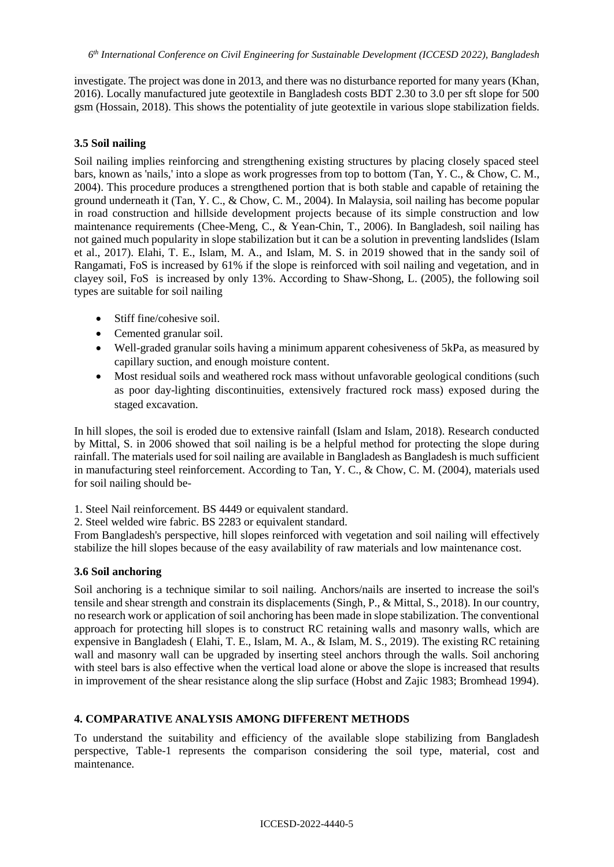investigate. The project was done in 2013, and there was no disturbance reported for many years (Khan, 2016). Locally manufactured jute geotextile in Bangladesh costs BDT 2.30 to 3.0 per sft slope for 500 gsm (Hossain, 2018). This shows the potentiality of jute geotextile in various slope stabilization fields.

### **3.5 Soil nailing**

Soil nailing implies reinforcing and strengthening existing structures by placing closely spaced steel bars, known as 'nails,' into a slope as work progresses from top to bottom (Tan, Y. C., & Chow, C. M., 2004). This procedure produces a strengthened portion that is both stable and capable of retaining the ground underneath it (Tan, Y. C., & Chow, C. M., 2004). In Malaysia, soil nailing has become popular in road construction and hillside development projects because of its simple construction and low maintenance requirements (Chee-Meng, C., & Yean-Chin, T., 2006). In Bangladesh, soil nailing has not gained much popularity in slope stabilization but it can be a solution in preventing landslides (Islam et al., 2017). Elahi, T. E., Islam, M. A., and Islam, M. S. in 2019 showed that in the sandy soil of Rangamati, FoS is increased by 61% if the slope is reinforced with soil nailing and vegetation, and in clayey soil, FoS is increased by only 13%. According to Shaw-Shong, L. (2005), the following soil types are suitable for soil nailing

- Stiff fine/cohesive soil.
- Cemented granular soil.
- Well-graded granular soils having a minimum apparent cohesiveness of 5kPa, as measured by capillary suction, and enough moisture content.
- Most residual soils and weathered rock mass without unfavorable geological conditions (such as poor day-lighting discontinuities, extensively fractured rock mass) exposed during the staged excavation.

In hill slopes, the soil is eroded due to extensive rainfall (Islam and Islam, 2018). Research conducted by Mittal, S. in 2006 showed that soil nailing is be a helpful method for protecting the slope during rainfall. The materials used for soil nailing are available in Bangladesh as Bangladesh is much sufficient in manufacturing steel reinforcement. According to Tan, Y. C., & Chow, C. M. (2004), materials used for soil nailing should be-

1. Steel Nail reinforcement. BS 4449 or equivalent standard.

2. Steel welded wire fabric. BS 2283 or equivalent standard.

From Bangladesh's perspective, hill slopes reinforced with vegetation and soil nailing will effectively stabilize the hill slopes because of the easy availability of raw materials and low maintenance cost.

### **3.6 Soil anchoring**

Soil anchoring is a technique similar to soil nailing. Anchors/nails are inserted to increase the soil's tensile and shear strength and constrain its displacements (Singh, P., & Mittal, S., 2018). In our country, no research work or application of soil anchoring has been made in slope stabilization. The conventional approach for protecting hill slopes is to construct RC retaining walls and masonry walls, which are expensive in Bangladesh ( Elahi, T. E., Islam, M. A., & Islam, M. S., 2019). The existing RC retaining wall and masonry wall can be upgraded by inserting steel anchors through the walls. Soil anchoring with steel bars is also effective when the vertical load alone or above the slope is increased that results in improvement of the shear resistance along the slip surface (Hobst and Zajic 1983; Bromhead 1994).

### **4. COMPARATIVE ANALYSIS AMONG DIFFERENT METHODS**

To understand the suitability and efficiency of the available slope stabilizing from Bangladesh perspective, Table-1 represents the comparison considering the soil type, material, cost and maintenance.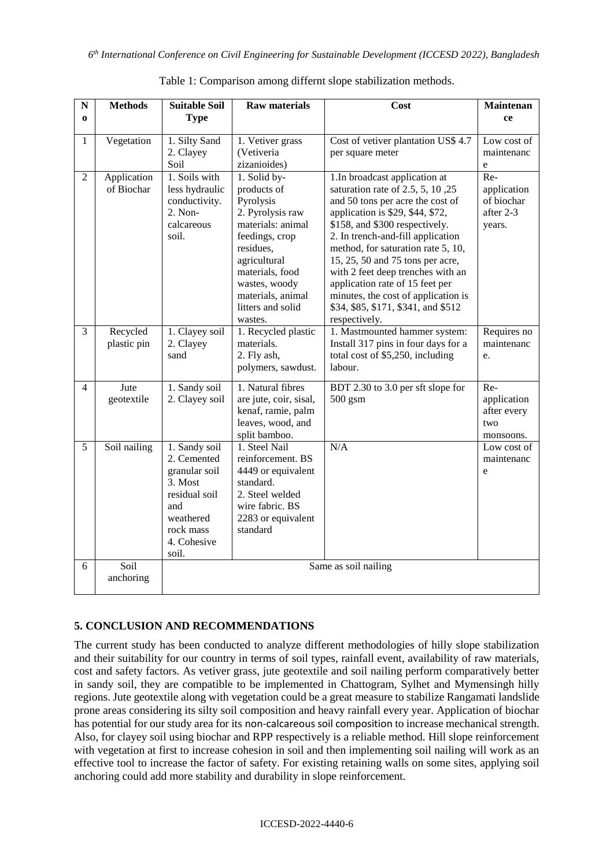| ${\bf N}$      | <b>Methods</b>            | <b>Suitable Soil</b>                                                                                                               | <b>Raw materials</b>                                                                                                                                                                                                      | Cost                                                                                                                                                                                                                                                                                                                                                                                                                                                                          | <b>Maintenan</b>                                        |
|----------------|---------------------------|------------------------------------------------------------------------------------------------------------------------------------|---------------------------------------------------------------------------------------------------------------------------------------------------------------------------------------------------------------------------|-------------------------------------------------------------------------------------------------------------------------------------------------------------------------------------------------------------------------------------------------------------------------------------------------------------------------------------------------------------------------------------------------------------------------------------------------------------------------------|---------------------------------------------------------|
| $\bf{o}$       |                           | <b>Type</b>                                                                                                                        |                                                                                                                                                                                                                           |                                                                                                                                                                                                                                                                                                                                                                                                                                                                               | ce                                                      |
| $\mathbf{1}$   | Vegetation                | 1. Silty Sand<br>2. Clayey<br>Soil                                                                                                 | 1. Vetiver grass<br>(Vetiveria<br>zizanioides)                                                                                                                                                                            | Cost of vetiver plantation US\$ 4.7<br>per square meter                                                                                                                                                                                                                                                                                                                                                                                                                       | Low cost of<br>maintenanc<br>${\rm e}$                  |
| $\overline{2}$ | Application<br>of Biochar | 1. Soils with<br>less hydraulic<br>conductivity.<br>2. Non-<br>calcareous<br>soil.                                                 | 1. Solid by-<br>products of<br>Pyrolysis<br>2. Pyrolysis raw<br>materials: animal<br>feedings, crop<br>residues,<br>agricultural<br>materials, food<br>wastes, woody<br>materials, animal<br>litters and solid<br>wastes. | 1.In broadcast application at<br>saturation rate of $2.5$ , $5$ , $10$ , $25$<br>and 50 tons per acre the cost of<br>application is \$29, \$44, \$72,<br>\$158, and \$300 respectively.<br>2. In trench-and-fill application<br>method, for saturation rate 5, 10,<br>15, 25, 50 and 75 tons per acre,<br>with 2 feet deep trenches with an<br>application rate of 15 feet per<br>minutes, the cost of application is<br>\$34, \$85, \$171, \$341, and \$512<br>respectively. | Re-<br>application<br>of biochar<br>after 2-3<br>years. |
| 3              | Recycled<br>plastic pin   | 1. Clayey soil<br>2. Clayey<br>sand                                                                                                | 1. Recycled plastic<br>materials.<br>2. Fly ash,<br>polymers, sawdust.                                                                                                                                                    | 1. Mastmounted hammer system:<br>Install 317 pins in four days for a<br>total cost of \$5,250, including<br>labour.                                                                                                                                                                                                                                                                                                                                                           | Requires no<br>maintenanc<br>e.                         |
| 4              | Jute<br>geotextile        | 1. Sandy soil<br>2. Clayey soil                                                                                                    | 1. Natural fibres<br>are jute, coir, sisal,<br>kenaf, ramie, palm<br>leaves, wood, and<br>split bamboo.                                                                                                                   | BDT 2.30 to 3.0 per sft slope for<br>$500$ gsm                                                                                                                                                                                                                                                                                                                                                                                                                                | Re-<br>application<br>after every<br>two<br>monsoons.   |
| 5              | Soil nailing              | 1. Sandy soil<br>2. Cemented<br>granular soil<br>3. Most<br>residual soil<br>and<br>weathered<br>rock mass<br>4. Cohesive<br>soil. | 1. Steel Nail<br>reinforcement. BS<br>4449 or equivalent<br>standard.<br>2. Steel welded<br>wire fabric. BS<br>2283 or equivalent<br>standard                                                                             | N/A                                                                                                                                                                                                                                                                                                                                                                                                                                                                           | Low cost of<br>maintenanc<br>e                          |
| 6              | Soil<br>anchoring         | Same as soil nailing                                                                                                               |                                                                                                                                                                                                                           |                                                                                                                                                                                                                                                                                                                                                                                                                                                                               |                                                         |

Table 1: Comparison among differnt slope stabilization methods.

# **5. CONCLUSION AND RECOMMENDATIONS**

The current study has been conducted to analyze different methodologies of hilly slope stabilization and their suitability for our country in terms of soil types, rainfall event, availability of raw materials, cost and safety factors. As vetiver grass, jute geotextile and soil nailing perform comparatively better in sandy soil, they are compatible to be implemented in Chattogram, Sylhet and Mymensingh hilly regions. Jute geotextile along with vegetation could be a great measure to stabilize Rangamati landslide prone areas considering its silty soil composition and heavy rainfall every year. Application of biochar has potential for our study area for its non-calcareous soil composition to increase mechanical strength. Also, for clayey soil using biochar and RPP respectively is a reliable method. Hill slope reinforcement with vegetation at first to increase cohesion in soil and then implementing soil nailing will work as an effective tool to increase the factor of safety. For existing retaining walls on some sites, applying soil anchoring could add more stability and durability in slope reinforcement.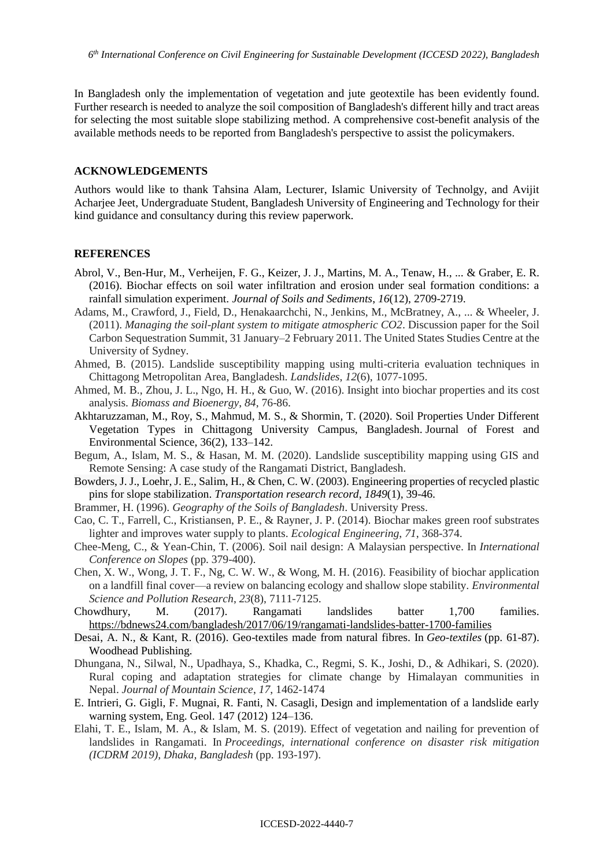In Bangladesh only the implementation of vegetation and jute geotextile has been evidently found. Further research is needed to analyze the soil composition of Bangladesh's different hilly and tract areas for selecting the most suitable slope stabilizing method. A comprehensive cost-benefit analysis of the available methods needs to be reported from Bangladesh's perspective to assist the policymakers.

#### **ACKNOWLEDGEMENTS**

Authors would like to thank Tahsina Alam, Lecturer, Islamic University of Technolgy, and Avijit Acharjee Jeet, Undergraduate Student, Bangladesh University of Engineering and Technology for their kind guidance and consultancy during this review paperwork.

#### **REFERENCES**

- Abrol, V., Ben-Hur, M., Verheijen, F. G., Keizer, J. J., Martins, M. A., Tenaw, H., ... & Graber, E. R. (2016). Biochar effects on soil water infiltration and erosion under seal formation conditions: a rainfall simulation experiment. *Journal of Soils and Sediments*, *16*(12), 2709-2719.
- Adams, M., Crawford, J., Field, D., Henakaarchchi, N., Jenkins, M., McBratney, A., ... & Wheeler, J. (2011). *Managing the soil-plant system to mitigate atmospheric CO2*. Discussion paper for the Soil Carbon Sequestration Summit, 31 January–2 February 2011. The United States Studies Centre at the University of Sydney.
- Ahmed, B. (2015). Landslide susceptibility mapping using multi-criteria evaluation techniques in Chittagong Metropolitan Area, Bangladesh. *Landslides*, *12*(6), 1077-1095.
- Ahmed, M. B., Zhou, J. L., Ngo, H. H., & Guo, W. (2016). Insight into biochar properties and its cost analysis. *Biomass and Bioenergy*, *84*, 76-86.
- Akhtaruzzaman, M., Roy, S., Mahmud, M. S., & Shormin, T. (2020). Soil Properties Under Different Vegetation Types in Chittagong University Campus, Bangladesh. Journal of Forest and Environmental Science, 36(2), 133–142.
- Begum, A., Islam, M. S., & Hasan, M. M. (2020). Landslide susceptibility mapping using GIS and Remote Sensing: A case study of the Rangamati District, Bangladesh.
- Bowders, J. J., Loehr, J. E., Salim, H., & Chen, C. W. (2003). Engineering properties of recycled plastic pins for slope stabilization. *Transportation research record*, *1849*(1), 39-46.
- Brammer, H. (1996). *Geography of the Soils of Bangladesh*. University Press.
- Cao, C. T., Farrell, C., Kristiansen, P. E., & Rayner, J. P. (2014). Biochar makes green roof substrates lighter and improves water supply to plants. *Ecological Engineering*, *71*, 368-374.
- Chee-Meng, C., & Yean-Chin, T. (2006). Soil nail design: A Malaysian perspective. In *International Conference on Slopes* (pp. 379-400).
- Chen, X. W., Wong, J. T. F., Ng, C. W. W., & Wong, M. H. (2016). Feasibility of biochar application on a landfill final cover—a review on balancing ecology and shallow slope stability. *Environmental Science and Pollution Research*, *23*(8), 7111-7125.
- Chowdhury, M. (2017). Rangamati landslides batter 1,700 families. <https://bdnews24.com/bangladesh/2017/06/19/rangamati-landslides-batter-1700-families>
- Desai, A. N., & Kant, R. (2016). Geo-textiles made from natural fibres. In *Geo-textiles* (pp. 61-87). Woodhead Publishing.
- Dhungana, N., Silwal, N., Upadhaya, S., Khadka, C., Regmi, S. K., Joshi, D., & Adhikari, S. (2020). Rural coping and adaptation strategies for climate change by Himalayan communities in Nepal. *Journal of Mountain Science*, *17*, 1462-1474
- E. Intrieri, G. Gigli, F. Mugnai, R. Fanti, N. Casagli, Design and implementation of a landslide early warning system, Eng. Geol. 147 (2012) 124–136.
- Elahi, T. E., Islam, M. A., & Islam, M. S. (2019). Effect of vegetation and nailing for prevention of landslides in Rangamati. In *Proceedings, international conference on disaster risk mitigation (ICDRM 2019), Dhaka, Bangladesh* (pp. 193-197).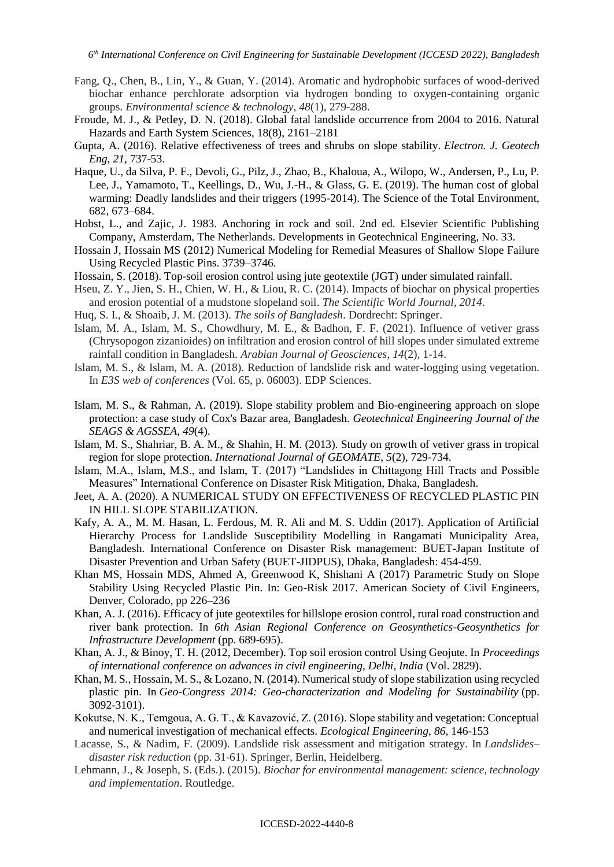- Fang, Q., Chen, B., Lin, Y., & Guan, Y. (2014). Aromatic and hydrophobic surfaces of wood-derived biochar enhance perchlorate adsorption via hydrogen bonding to oxygen-containing organic groups. *Environmental science & technology*, *48*(1), 279-288.
- Froude, M. J., & Petley, D. N. (2018). Global fatal landslide occurrence from 2004 to 2016. Natural Hazards and Earth System Sciences, 18(8), 2161–2181
- Gupta, A. (2016). Relative effectiveness of trees and shrubs on slope stability. *Electron. J. Geotech Eng*, *21*, 737-53.
- Haque, U., da Silva, P. F., Devoli, G., Pilz, J., Zhao, B., Khaloua, A., Wilopo, W., Andersen, P., Lu, P. Lee, J., Yamamoto, T., Keellings, D., Wu, J.-H., & Glass, G. E. (2019). The human cost of global warming: Deadly landslides and their triggers (1995-2014). The Science of the Total Environment, 682, 673–684.
- Hobst, L., and Zajic, J. 1983. Anchoring in rock and soil. 2nd ed. Elsevier Scientific Publishing Company, Amsterdam, The Netherlands. Developments in Geotechnical Engineering, No. 33.
- Hossain J, Hossain MS (2012) Numerical Modeling for Remedial Measures of Shallow Slope Failure Using Recycled Plastic Pins. 3739–3746.
- Hossain, S. (2018). Top-soil erosion control using jute geotextile (JGT) under simulated rainfall.
- Hseu, Z. Y., Jien, S. H., Chien, W. H., & Liou, R. C. (2014). Impacts of biochar on physical properties and erosion potential of a mudstone slopeland soil. *The Scientific World Journal*, *2014*.
- Huq, S. I., & Shoaib, J. M. (2013). *The soils of Bangladesh*. Dordrecht: Springer.
- Islam, M. A., Islam, M. S., Chowdhury, M. E., & Badhon, F. F. (2021). Influence of vetiver grass (Chrysopogon zizanioides) on infiltration and erosion control of hill slopes under simulated extreme rainfall condition in Bangladesh. *Arabian Journal of Geosciences*, *14*(2), 1-14.
- Islam, M. S., & Islam, M. A. (2018). Reduction of landslide risk and water-logging using vegetation. In *E3S web of conferences* (Vol. 65, p. 06003). EDP Sciences[.](https://doi.org/10.1051/e3sconf/20186506003)
- Islam, M. S., & Rahman, A. (2019). Slope stability problem and Bio-engineering approach on slope protection: a case study of Cox's Bazar area, Bangladesh. *Geotechnical Engineering Journal of the SEAGS & AGSSEA*, *49*(4).
- Islam, M. S., Shahriar, B. A. M., & Shahin, H. M. (2013). Study on growth of vetiver grass in tropical region for slope protection. *International Journal of GEOMATE*, *5*(2), 729-734.
- Islam, M.A., Islam, M.S., and Islam, T. (2017) "Landslides in Chittagong Hill Tracts and Possible Measures" International Conference on Disaster Risk Mitigation, Dhaka, Bangladesh.
- Jeet, A. A. (2020). A NUMERICAL STUDY ON EFFECTIVENESS OF RECYCLED PLASTIC PIN IN HILL SLOPE STABILIZATION.
- Kafy, A. A., M. M. Hasan, L. Ferdous, M. R. Ali and M. S. Uddin (2017). Application of Artificial Hierarchy Process for Landslide Susceptibility Modelling in Rangamati Municipality Area, Bangladesh. International Conference on Disaster Risk management: BUET-Japan Institute of Disaster Prevention and Urban Safety (BUET-JIDPUS), Dhaka, Bangladesh: 454-459.
- Khan MS, Hossain MDS, Ahmed A, Greenwood K, Shishani A (2017) Parametric Study on Slope Stability Using Recycled Plastic Pin. In: Geo-Risk 2017. American Society of Civil Engineers, Denver, Colorado, pp 226–236
- Khan, A. J. (2016). Efficacy of jute geotextiles for hillslope erosion control, rural road construction and river bank protection. In *6th Asian Regional Conference on Geosynthetics-Geosynthetics for Infrastructure Development* (pp. 689-695).
- Khan, A. J., & Binoy, T. H. (2012, December). Top soil erosion control Using Geojute. In *Proceedings of international conference on advances in civil engineering, Delhi, India* (Vol. 2829).
- Khan, M. S., Hossain, M. S., & Lozano, N. (2014). Numerical study of slope stabilization using recycled plastic pin. In *Geo-Congress 2014: Geo-characterization and Modeling for Sustainability* (pp. 3092-3101).
- Kokutse, N. K., Temgoua, A. G. T., & Kavazović, Z. (2016). Slope stability and vegetation: Conceptual and numerical investigation of mechanical effects. *Ecological Engineering*, *86*, 146-153
- Lacasse, S., & Nadim, F. (2009). Landslide risk assessment and mitigation strategy. In *Landslides– disaster risk reduction* (pp. 31-61). Springer, Berlin, Heidelberg.
- Lehmann, J., & Joseph, S. (Eds.). (2015). *Biochar for environmental management: science, technology and implementation*. Routledge.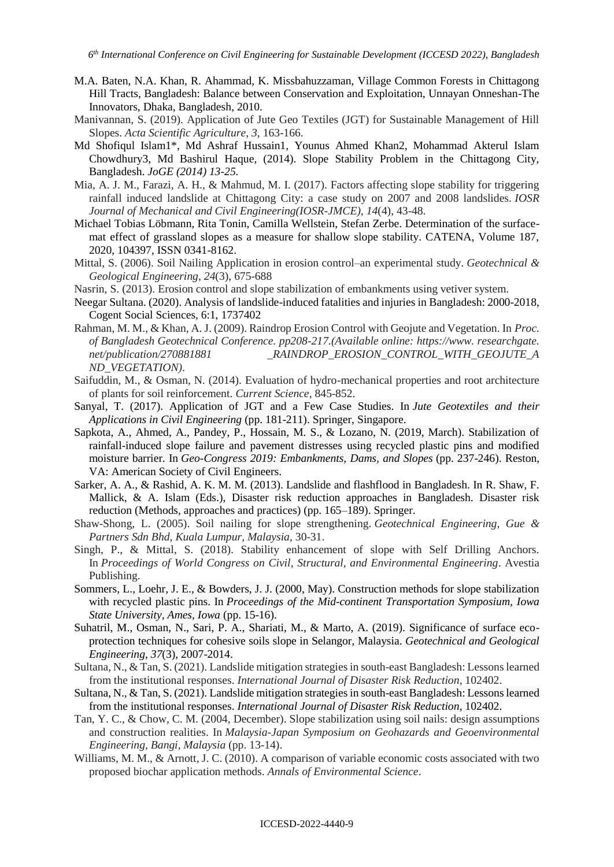- M.A. Baten, N.A. Khan, R. Ahammad, K. Missbahuzzaman, Village Common Forests in Chittagong Hill Tracts, Bangladesh: Balance between Conservation and Exploitation, Unnayan Onneshan-The Innovators, Dhaka, Bangladesh, 2010.
- Manivannan, S. (2019). Application of Jute Geo Textiles (JGT) for Sustainable Management of Hill Slopes. *Acta Scientific Agriculture*, *3*, 163-166.
- Md Shofiqul Islam1\*, Md Ashraf Hussain1, Younus Ahmed Khan2, Mohammad Akterul Islam Chowdhury3, Md Bashirul Haque, (2014). Slope Stability Problem in the Chittagong City, Bangladesh. *JoGE (2014) 13-25.*
- Mia, A. J. M., Farazi, A. H., & Mahmud, M. I. (2017). Factors affecting slope stability for triggering rainfall induced landslide at Chittagong City: a case study on 2007 and 2008 landslides. *IOSR Journal of Mechanical and Civil Engineering(IOSR-JMCE)*, *14*(4), 43-48.
- Michael Tobias Löbmann, Rita Tonin, Camilla Wellstein, Stefan Zerbe. Determination of the surfacemat effect of grassland slopes as a measure for shallow slope stability. CATENA, Volume 187, 2020, 104397, ISSN 0341-8162.
- Mittal, S. (2006). Soil Nailing Application in erosion control–an experimental study. *Geotechnical & Geological Engineering*, *24*(3), 675-688
- Nasrin, S. (2013). Erosion control and slope stabilization of embankments using vetiver system.
- Neegar Sultana. (2020). Analysis of landslide-induced fatalities and injuries in Bangladesh: 2000-2018, Cogent Social Sciences, 6:1, 1737402
- Rahman, M. M., & Khan, A. J. (2009). Raindrop Erosion Control with Geojute and Vegetation. In *Proc. of Bangladesh Geotechnical Conference. pp208-217.(Available online: https://www. researchgate. net/publication/270881881 \_RAINDROP\_EROSION\_CONTROL\_WITH\_GEOJUTE\_A ND\_VEGETATION)*.
- Saifuddin, M., & Osman, N. (2014). Evaluation of hydro-mechanical properties and root architecture of plants for soil reinforcement. *Current Science*, 845-852.
- Sanyal, T. (2017). Application of JGT and a Few Case Studies. In *Jute Geotextiles and their Applications in Civil Engineering* (pp. 181-211). Springer, Singapore.
- Sapkota, A., Ahmed, A., Pandey, P., Hossain, M. S., & Lozano, N. (2019, March). Stabilization of rainfall-induced slope failure and pavement distresses using recycled plastic pins and modified moisture barrier. In *Geo-Congress 2019: Embankments, Dams, and Slopes* (pp. 237-246). Reston, VA: American Society of Civil Engineers.
- Sarker, A. A., & Rashid, A. K. M. M. (2013). Landslide and flashflood in Bangladesh. In R. Shaw, F. Mallick, & A. Islam (Eds.), Disaster risk reduction approaches in Bangladesh. Disaster risk reduction (Methods, approaches and practices) (pp. 165–189). Springer.
- Shaw-Shong, L. (2005). Soil nailing for slope strengthening. *Geotechnical Engineering, Gue & Partners Sdn Bhd, Kuala Lumpur, Malaysia*, 30-31.
- Singh, P., & Mittal, S. (2018). Stability enhancement of slope with Self Drilling Anchors. In *Proceedings of World Congress on Civil, Structural, and Environmental Engineering*. Avestia Publishing.
- Sommers, L., Loehr, J. E., & Bowders, J. J. (2000, May). Construction methods for slope stabilization with recycled plastic pins. In *Proceedings of the Mid-continent Transportation Symposium, Iowa State University, Ames, Iowa* (pp. 15-16).
- Suhatril, M., Osman, N., Sari, P. A., Shariati, M., & Marto, A. (2019). Significance of surface ecoprotection techniques for cohesive soils slope in Selangor, Malaysia. *Geotechnical and Geological Engineering*, *37*(3), 2007-2014.
- Sultana, N., & Tan, S. (2021). Landslide mitigation strategies in south-east Bangladesh: Lessons learned from the institutional responses. *International Journal of Disaster Risk Reduction*, 102402.
- Sultana, N., & Tan, S. (2021). Landslide mitigation strategies in south-east Bangladesh: Lessons learned from the institutional responses. *International Journal of Disaster Risk Reduction*, 102402.
- Tan, Y. C., & Chow, C. M. (2004, December). Slope stabilization using soil nails: design assumptions and construction realities. In *Malaysia-Japan Symposium on Geohazards and Geoenvironmental Engineering, Bangi, Malaysia* (pp. 13-14).
- Williams, M. M., & Arnott, J. C. (2010). A comparison of variable economic costs associated with two proposed biochar application methods. *Annals of Environmental Science*.